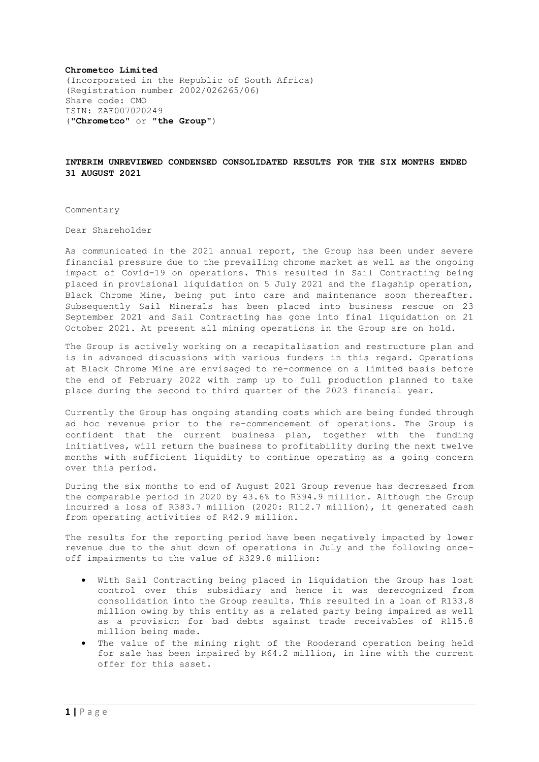#### **Chrometco Limited**

(Incorporated in the Republic of South Africa) (Registration number 2002/026265/06) Share code: CMO ISIN: ZAE007020249 ("**Chrometco**" or "**the Group**")

#### **INTERIM UNREVIEWED CONDENSED CONSOLIDATED RESULTS FOR THE SIX MONTHS ENDED 31 AUGUST 2021**

Commentary

Dear Shareholder

As communicated in the 2021 annual report, the Group has been under severe financial pressure due to the prevailing chrome market as well as the ongoing impact of Covid-19 on operations. This resulted in Sail Contracting being placed in provisional liquidation on 5 July 2021 and the flagship operation, Black Chrome Mine, being put into care and maintenance soon thereafter. Subsequently Sail Minerals has been placed into business rescue on 23 September 2021 and Sail Contracting has gone into final liquidation on 21 October 2021. At present all mining operations in the Group are on hold.

The Group is actively working on a recapitalisation and restructure plan and is in advanced discussions with various funders in this regard. Operations at Black Chrome Mine are envisaged to re-commence on a limited basis before the end of February 2022 with ramp up to full production planned to take place during the second to third quarter of the 2023 financial year.

Currently the Group has ongoing standing costs which are being funded through ad hoc revenue prior to the re-commencement of operations. The Group is confident that the current business plan, together with the funding initiatives, will return the business to profitability during the next twelve months with sufficient liquidity to continue operating as a going concern over this period.

During the six months to end of August 2021 Group revenue has decreased from the comparable period in 2020 by 43.6% to R394.9 million. Although the Group incurred a loss of R383.7 million (2020: R112.7 million), it generated cash from operating activities of R42.9 million.

The results for the reporting period have been negatively impacted by lower revenue due to the shut down of operations in July and the following onceoff impairments to the value of R329.8 million:

- With Sail Contracting being placed in liquidation the Group has lost control over this subsidiary and hence it was derecognized from consolidation into the Group results. This resulted in a loan of R133.8 million owing by this entity as a related party being impaired as well as a provision for bad debts against trade receivables of R115.8 million being made.
- The value of the mining right of the Rooderand operation being held for sale has been impaired by R64.2 million, in line with the current offer for this asset.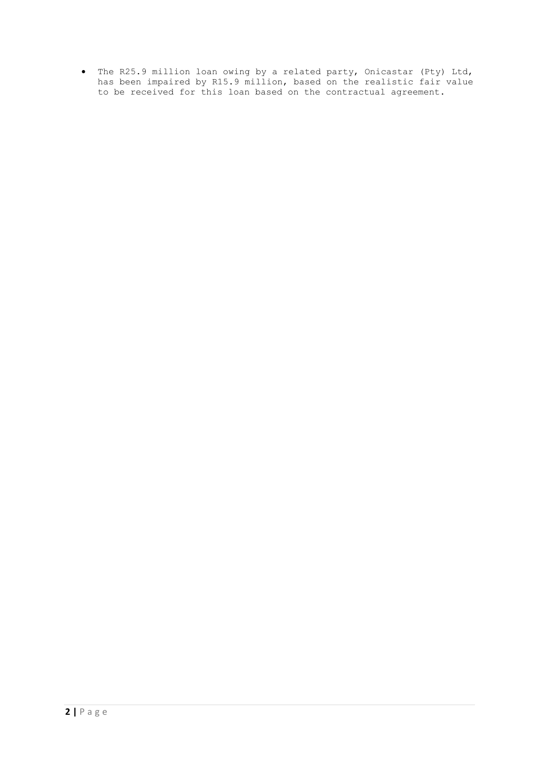• The R25.9 million loan owing by a related party, Onicastar (Pty) Ltd, has been impaired by R15.9 million, based on the realistic fair value to be received for this loan based on the contractual agreement.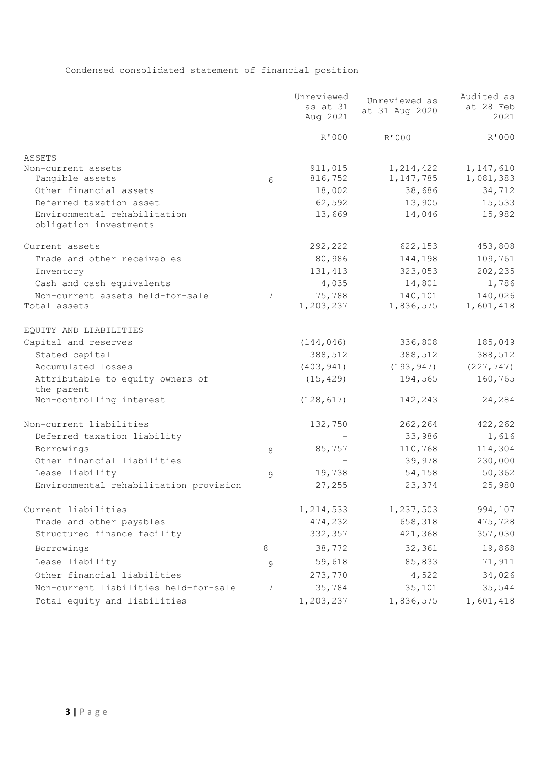# Condensed consolidated statement of financial position

|                                                        |   | Unreviewed<br>as at 31<br>Aug 2021 | Unreviewed as<br>at 31 Aug 2020 | Audited as<br>at 28 Feb<br>2021 |
|--------------------------------------------------------|---|------------------------------------|---------------------------------|---------------------------------|
|                                                        |   | R'000                              | R'000                           | R'000                           |
| ASSETS                                                 |   |                                    |                                 |                                 |
| Non-current assets                                     |   | 911,015                            | 1, 214, 422                     | 1, 147, 610                     |
| Tangible assets                                        | 6 | 816,752                            | 1,147,785                       | 1,081,383                       |
| Other financial assets                                 |   | 18,002                             | 38,686                          | 34,712                          |
| Deferred taxation asset                                |   | 62,592                             | 13,905                          | 15,533                          |
| Environmental rehabilitation<br>obligation investments |   | 13,669                             | 14,046                          | 15,982                          |
| Current assets                                         |   | 292,222                            | 622,153                         | 453,808                         |
| Trade and other receivables                            |   | 80,986                             | 144,198                         | 109,761                         |
| Inventory                                              |   | 131, 413                           | 323,053                         | 202,235                         |
| Cash and cash equivalents                              |   | 4,035                              | 14,801                          | 1,786                           |
| Non-current assets held-for-sale                       | 7 | 75,788                             | 140,101                         | 140,026                         |
| Total assets                                           |   | 1,203,237                          | 1,836,575                       | 1,601,418                       |
| EQUITY AND LIABILITIES                                 |   |                                    |                                 |                                 |
| Capital and reserves                                   |   | (144, 046)                         | 336,808                         | 185,049                         |
| Stated capital                                         |   | 388,512                            | 388,512                         | 388,512                         |
| Accumulated losses                                     |   | (403, 941)                         | (193, 947)                      | (227, 747)                      |
| Attributable to equity owners of<br>the parent         |   | (15, 429)                          | 194,565                         | 160,765                         |
| Non-controlling interest                               |   | (128, 617)                         | 142,243                         | 24,284                          |
| Non-current liabilities                                |   | 132,750                            | 262,264                         | 422,262                         |
| Deferred taxation liability                            |   |                                    | 33,986                          | 1,616                           |
| Borrowings                                             | 8 | 85,757                             | 110,768                         | 114,304                         |
| Other financial liabilities                            |   |                                    | 39,978                          | 230,000                         |
| Lease liability                                        | 9 | 19,738                             | 54,158                          | 50, 362                         |
| Environmental rehabilitation provision                 |   | 27,255                             | 23,374                          | 25,980                          |
| Current liabilities                                    |   | 1,214,533                          | 1,237,503                       | 994,107                         |
| Trade and other payables                               |   | 474,232                            | 658,318                         | 475,728                         |
| Structured finance facility                            |   | 332,357                            | 421,368                         | 357,030                         |
| Borrowings                                             | 8 | 38,772                             | 32,361                          | 19,868                          |
| Lease liability                                        | 9 | 59,618                             | 85,833                          | 71,911                          |
| Other financial liabilities                            |   | 273,770                            | 4,522                           | 34,026                          |
| Non-current liabilities held-for-sale                  | 7 | 35,784                             | 35,101                          | 35,544                          |
| Total equity and liabilities                           |   | 1,203,237                          | 1,836,575                       | 1,601,418                       |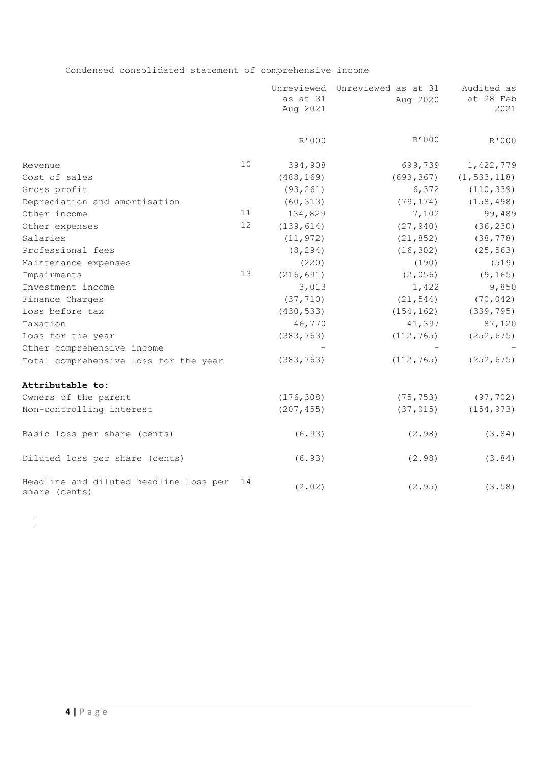Condensed consolidated statement of comprehensive income

|                                                         |    | as at 31<br>Aug 2021 | Unreviewed Unreviewed as at 31<br>Aug 2020 | Audited as<br>at 28 Feb<br>2021 |
|---------------------------------------------------------|----|----------------------|--------------------------------------------|---------------------------------|
|                                                         |    | R'000                | R'000                                      | R'000                           |
| Revenue                                                 | 10 | 394,908              | 699,739                                    | 1,422,779                       |
| Cost of sales                                           |    | (488, 169)           | (693, 367)                                 | (1, 533, 118)                   |
| Gross profit                                            |    | (93, 261)            | 6,372                                      | (110, 339)                      |
| Depreciation and amortisation                           |    | (60, 313)            | (79, 174)                                  | (158, 498)                      |
| Other income                                            | 11 | 134,829              | 7,102                                      | 99,489                          |
| Other expenses                                          | 12 | (139, 614)           | (27, 940)                                  | (36, 230)                       |
| Salaries                                                |    | (11, 972)            | (21, 852)                                  | (38, 778)                       |
| Professional fees                                       |    | (8, 294)             | (16, 302)                                  | (25, 563)                       |
| Maintenance expenses                                    |    | (220)                | (190)                                      | (519)                           |
| Impairments                                             | 13 | (216, 691)           | (2,056)                                    | (9, 165)                        |
| Investment income                                       |    | 3,013                | 1,422                                      | 9,850                           |
| Finance Charges                                         |    | (37, 710)            | (21, 544)                                  | (70, 042)                       |
| Loss before tax                                         |    | (430, 533)           | (154, 162)                                 | (339, 795)                      |
| Taxation                                                |    | 46,770               | 41,397                                     | 87,120                          |
| Loss for the year                                       |    | (383, 763)           | (112, 765)                                 | (252, 675)                      |
| Other comprehensive income                              |    |                      |                                            |                                 |
| Total comprehensive loss for the year                   |    | (383, 763)           | (112, 765)                                 | (252, 675)                      |
| Attributable to:                                        |    |                      |                                            |                                 |
| Owners of the parent                                    |    | (176, 308)           | (75, 753)                                  | (97, 702)                       |
| Non-controlling interest                                |    | (207, 455)           | (37, 015)                                  | (154, 973)                      |
| Basic loss per share (cents)                            |    | (6.93)               | (2.98)                                     | (3.84)                          |
| Diluted loss per share (cents)                          |    | (6.93)               | (2.98)                                     | (3.84)                          |
| Headline and diluted headline loss per<br>share (cents) | 14 | (2.02)               | (2.95)                                     | (3.58)                          |

 $\overline{\phantom{a}}$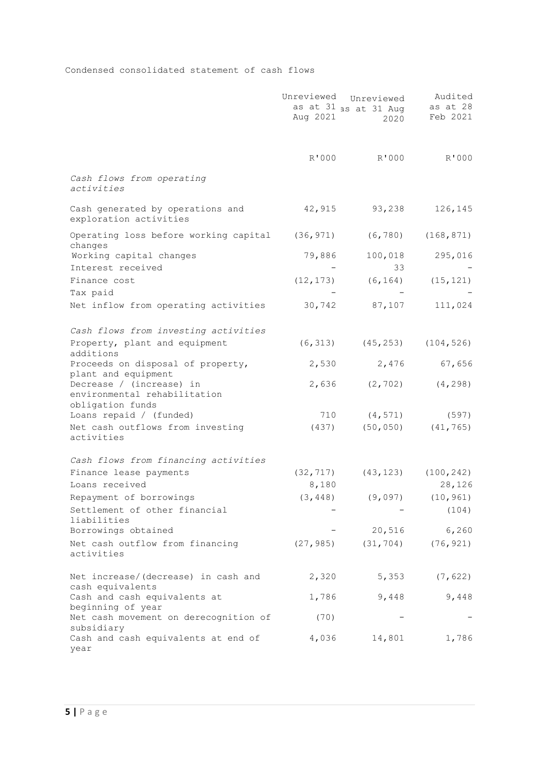Condensed consolidated statement of cash flows

|                                                                              | Unreviewed<br>Aug 2021 | Unreviewed<br>as at 31 as at 31 Aug<br>2020 | Audited<br>as at 28<br>Feb 2021 |
|------------------------------------------------------------------------------|------------------------|---------------------------------------------|---------------------------------|
|                                                                              | R'000                  | R'000                                       | R'000                           |
| Cash flows from operating<br>activities                                      |                        |                                             |                                 |
| Cash generated by operations and<br>exploration activities                   | 42,915                 | 93,238                                      | 126,145                         |
| Operating loss before working capital<br>changes                             | (36, 971)              | (6, 780)                                    | (168, 871)                      |
| Working capital changes                                                      | 79,886                 | 100,018                                     | 295,016                         |
| Interest received                                                            |                        | 33                                          |                                 |
| Finance cost                                                                 | (12, 173)              | (6, 164)                                    | (15, 121)                       |
| Tax paid                                                                     |                        |                                             |                                 |
| Net inflow from operating activities                                         | 30,742                 | 87,107                                      | 111,024                         |
| Cash flows from investing activities                                         |                        |                                             |                                 |
| Property, plant and equipment<br>additions                                   | (6, 313)               | (45, 253)                                   | (104, 526)                      |
| Proceeds on disposal of property,<br>plant and equipment                     | 2,530                  | 2,476                                       | 67,656                          |
| Decrease / (increase) in<br>environmental rehabilitation<br>obligation funds | 2,636                  | (2, 702)                                    | (4, 298)                        |
| Loans repaid / (funded)                                                      | 710                    | (4, 571)                                    | (597)                           |
| Net cash outflows from investing<br>activities                               | (437)                  | (50, 050)                                   | (41, 765)                       |
| Cash flows from financing activities                                         |                        |                                             |                                 |
| Finance lease payments                                                       | (32, 717)              | (43, 123)                                   | (100, 242)                      |
| Loans received                                                               | 8,180                  |                                             | 28,126                          |
| Repayment of borrowings                                                      | (3, 448)               | (9,097)                                     | (10, 961)                       |
| Settlement of other financial<br>liabilities                                 |                        |                                             | (104)                           |
| Borrowings obtained                                                          |                        | 20,516                                      | 6,260                           |
| Net cash outflow from financing<br>activities                                | (27, 985)              | (31, 704)                                   | (76, 921)                       |
| Net increase/(decrease) in cash and                                          | 2,320                  | 5,353                                       | (7, 622)                        |
| cash equivalents<br>Cash and cash equivalents at                             | 1,786                  | 9,448                                       | 9,448                           |
| beginning of year<br>Net cash movement on derecognition of<br>subsidiary     | (70)                   |                                             |                                 |
| Cash and cash equivalents at end of<br>year                                  | 4,036                  | 14,801                                      | 1,786                           |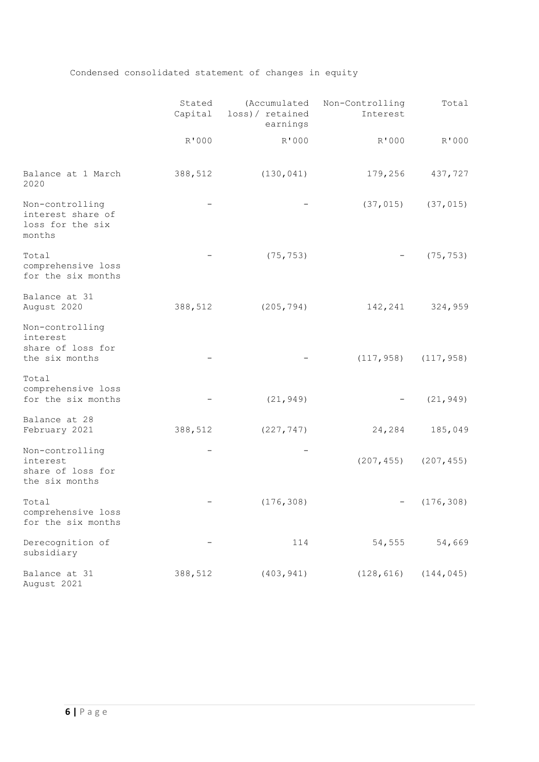# Condensed consolidated statement of changes in equity

|                                                                    | Stated<br>Capital | loss)/ retained<br>earnings | (Accumulated Non-Controlling<br>Interest | Total                     |
|--------------------------------------------------------------------|-------------------|-----------------------------|------------------------------------------|---------------------------|
|                                                                    | R'000             | R'000                       | R'000                                    | R'000                     |
| Balance at 1 March<br>2020                                         | 388,512           | (130, 041)                  | 179,256                                  | 437,727                   |
| Non-controlling<br>interest share of<br>loss for the six<br>months |                   |                             | (37, 015)                                | (37, 015)                 |
| Total<br>comprehensive loss<br>for the six months                  |                   | (75, 753)                   |                                          | (75, 753)                 |
| Balance at 31<br>August 2020                                       | 388,512           | (205, 794)                  | 142,241                                  | 324,959                   |
| Non-controlling<br>interest<br>share of loss for<br>the six months |                   |                             |                                          | $(117, 958)$ $(117, 958)$ |
| Total<br>comprehensive loss<br>for the six months                  |                   | (21, 949)                   |                                          | (21, 949)                 |
| Balance at 28<br>February 2021                                     | 388,512           | (227, 747)                  | 24,284                                   | 185,049                   |
| Non-controlling<br>interest<br>share of loss for<br>the six months |                   |                             |                                          | $(207, 455)$ $(207, 455)$ |
| Total<br>comprehensive loss<br>for the six months                  |                   | (176, 308)                  |                                          | (176, 308)                |
| Derecognition of<br>subsidiary                                     |                   | 114                         | 54,555                                   | 54,669                    |
| Balance at 31<br>August 2021                                       | 388,512           | (403, 941)                  | (128, 616)                               | (144, 045)                |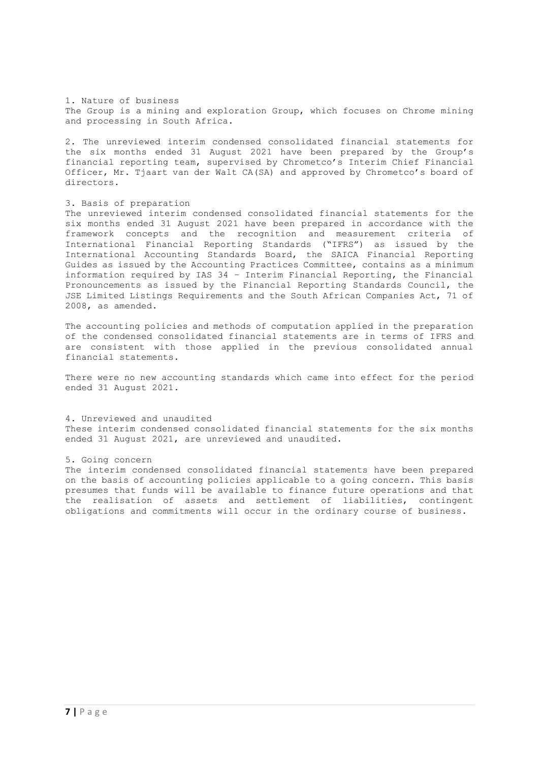1. Nature of business The Group is a mining and exploration Group, which focuses on Chrome mining and processing in South Africa.

2. The unreviewed interim condensed consolidated financial statements for the six months ended 31 August 2021 have been prepared by the Group's financial reporting team, supervised by Chrometco's Interim Chief Financial Officer, Mr. Tjaart van der Walt CA(SA) and approved by Chrometco's board of directors.

## 3. Basis of preparation

The unreviewed interim condensed consolidated financial statements for the six months ended 31 August 2021 have been prepared in accordance with the framework concepts and the recognition and measurement criteria of International Financial Reporting Standards ("IFRS") as issued by the International Accounting Standards Board, the SAICA Financial Reporting Guides as issued by the Accounting Practices Committee, contains as a minimum information required by IAS 34 – Interim Financial Reporting, the Financial Pronouncements as issued by the Financial Reporting Standards Council, the JSE Limited Listings Requirements and the South African Companies Act, 71 of 2008, as amended.

The accounting policies and methods of computation applied in the preparation of the condensed consolidated financial statements are in terms of IFRS and are consistent with those applied in the previous consolidated annual financial statements.

There were no new accounting standards which came into effect for the period ended 31 August 2021.

#### 4. Unreviewed and unaudited

These interim condensed consolidated financial statements for the six months ended 31 August 2021, are unreviewed and unaudited.

#### 5. Going concern

The interim condensed consolidated financial statements have been prepared on the basis of accounting policies applicable to a going concern. This basis presumes that funds will be available to finance future operations and that the realisation of assets and settlement of liabilities, contingent obligations and commitments will occur in the ordinary course of business.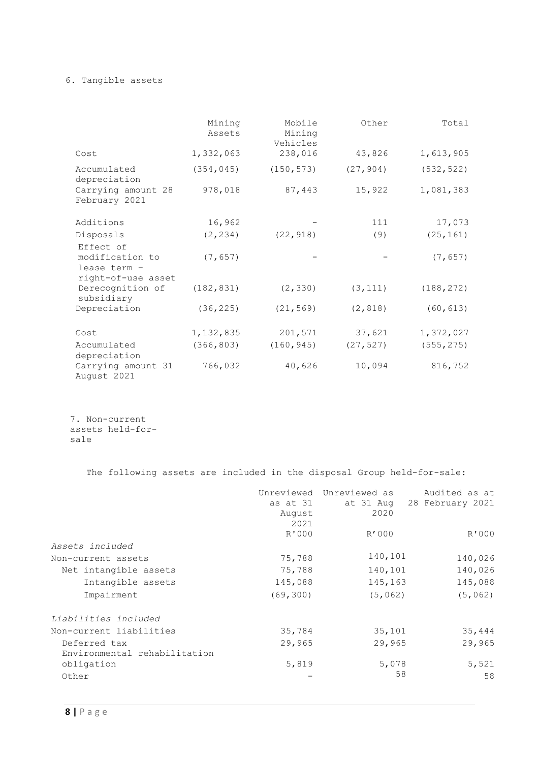## 6. Tangible assets

|                                                      | Mining<br>Assets | Mobile<br>Mining<br>Vehicles | Other     | Total      |
|------------------------------------------------------|------------------|------------------------------|-----------|------------|
| Cost                                                 | 1,332,063        | 238,016                      | 43,826    | 1,613,905  |
| Accumulated<br>depreciation                          | (354, 045)       | (150, 573)                   | (27, 904) | (532, 522) |
| Carrying amount 28<br>February 2021                  | 978,018          | 87,443                       | 15,922    | 1,081,383  |
| Additions                                            | 16,962           |                              | 111       | 17,073     |
| Disposals                                            | (2, 234)         | (22, 918)                    | (9)       | (25, 161)  |
| Effect of<br>modification to<br>lease term -         | (7, 657)         |                              |           | (7, 657)   |
| right-of-use asset<br>Derecognition of<br>subsidiary | (182, 831)       | (2, 330)                     | (3, 111)  | (188, 272) |
| Depreciation                                         | (36, 225)        | (21, 569)                    | (2, 818)  | (60, 613)  |
| Cost                                                 | 1,132,835        | 201,571                      | 37,621    | 1,372,027  |
| Accumulated<br>depreciation                          | (366, 803)       | (160, 945)                   | (27, 527) | (555, 275) |
| Carrying amount 31<br>August 2021                    | 766,032          | 40,626                       | 10,094    | 816,752    |

7. Non-current assets held-forsale

The following assets are included in the disposal Group held-for-sale:

|                                            | as at 31<br>August<br>2021 | Unreviewed Unreviewed as<br>at 31 Aug<br>2020 | Audited as at<br>28 February 2021 |
|--------------------------------------------|----------------------------|-----------------------------------------------|-----------------------------------|
|                                            | R'000                      | R'000                                         | R'000                             |
| Assets included                            |                            |                                               |                                   |
| Non-current assets                         | 75,788                     | 140,101                                       | 140,026                           |
| Net intangible assets                      | 75,788                     | 140,101                                       | 140,026                           |
| Intangible assets                          | 145,088                    | 145,163                                       | 145,088                           |
| Impairment                                 | (69, 300)                  | (5,062)                                       | (5,062)                           |
| Liabilities included                       |                            |                                               |                                   |
| Non-current liabilities                    | 35,784                     | 35,101                                        | 35,444                            |
| Deferred tax                               | 29,965                     | 29,965                                        | 29,965                            |
| Environmental rehabilitation<br>obligation | 5,819                      | 5,078<br>58                                   | 5,521                             |
| Other                                      |                            |                                               | 58                                |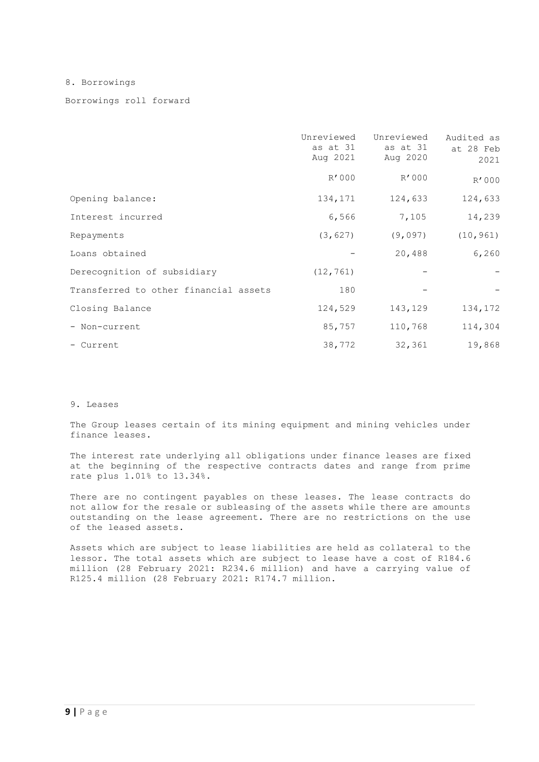8. Borrowings

Borrowings roll forward

|                                       | Unreviewed<br>as at 31<br>Aug 2021 | Unreviewed<br>as at 31<br>Aug 2020 | Audited as<br>at 28 Feb<br>2021 |
|---------------------------------------|------------------------------------|------------------------------------|---------------------------------|
|                                       | R'000                              | R'000                              | R'000                           |
| Opening balance:                      | 134,171                            | 124,633                            | 124,633                         |
| Interest incurred                     | 6,566                              | 7,105                              | 14,239                          |
| Repayments                            | (3, 627)                           | (9,097)                            | (10, 961)                       |
| Loans obtained                        |                                    | 20,488                             | 6,260                           |
| Derecognition of subsidiary           | (12, 761)                          |                                    |                                 |
| Transferred to other financial assets | 180                                |                                    |                                 |
| Closing Balance                       | 124,529                            | 143,129                            | 134,172                         |
| - Non-current                         | 85,757                             | 110,768                            | 114,304                         |
| - Current                             | 38,772                             | 32,361                             | 19,868                          |

## 9. Leases

The Group leases certain of its mining equipment and mining vehicles under finance leases.

The interest rate underlying all obligations under finance leases are fixed at the beginning of the respective contracts dates and range from prime rate plus 1.01% to 13.34%.

There are no contingent payables on these leases. The lease contracts do not allow for the resale or subleasing of the assets while there are amounts outstanding on the lease agreement. There are no restrictions on the use of the leased assets.

Assets which are subject to lease liabilities are held as collateral to the lessor. The total assets which are subject to lease have a cost of R184.6 million (28 February 2021: R234.6 million) and have a carrying value of R125.4 million (28 February 2021: R174.7 million.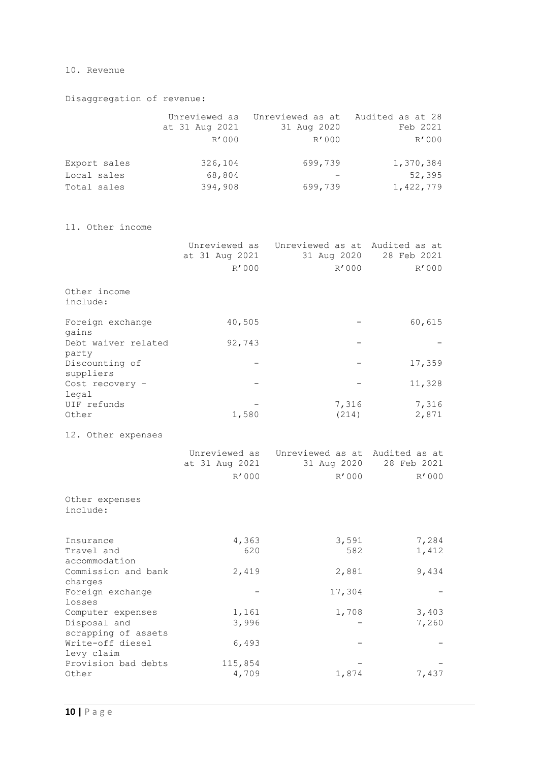## 10. Revenue

Disaggregation of revenue:

|                            | at 31 Aug 2021<br>R'000 | Unreviewed as Unreviewed as at Audited as at 28<br>31 Aug 2020<br>R'000 | Feb 2021<br>R'000   |
|----------------------------|-------------------------|-------------------------------------------------------------------------|---------------------|
| Export sales               | 326,104                 | 699,739                                                                 | 1,370,384           |
| Local sales<br>Total sales | 68,804<br>394,908       | 699,739                                                                 | 52,395<br>1,422,779 |

11. Other income

|                                          | Unreviewed as<br>at 31 Aug 2021<br>R'000 | Unreviewed as at Audited as at<br>31 Aug 2020<br>R'000 | 28 Feb 2021<br>R'000 |
|------------------------------------------|------------------------------------------|--------------------------------------------------------|----------------------|
| Other income<br>include:                 |                                          |                                                        |                      |
| Foreign exchange<br>gains                | 40,505                                   |                                                        | 60,615               |
| Debt waiver related<br>party             | 92,743                                   |                                                        |                      |
| Discounting of<br>suppliers              |                                          |                                                        | 17,359               |
| Cost recovery -<br>legal                 |                                          |                                                        | 11,328               |
| UIF refunds<br>Other                     | 1,580                                    | 7,316<br>(214)                                         | 7,316<br>2,871       |
| 12. Other expenses                       |                                          |                                                        |                      |
|                                          | Unreviewed as<br>at 31 Aug 2021<br>R'000 | Unreviewed as at Audited as at<br>31 Aug 2020<br>R'000 | 28 Feb 2021<br>R'000 |
| Other expenses<br>include:               |                                          |                                                        |                      |
| Insurance<br>Travel and<br>accommodation | 4,363<br>620                             | 3,591<br>582                                           | 7,284<br>1,412       |
| Commission and bank<br>charges           | 2,419                                    | 2,881                                                  | 9,434                |

| charges             |         |        |       |
|---------------------|---------|--------|-------|
| Foreign exchange    |         | 17,304 |       |
| losses              |         |        |       |
| Computer expenses   | 1,161   | 1,708  | 3,403 |
| Disposal and        | 3,996   |        | 7,260 |
| scrapping of assets |         |        |       |
| Write-off diesel    | 6,493   | —      |       |
| levy claim          |         |        |       |
| Provision bad debts | 115,854 |        |       |
| Other               | 4,709   | 1,874  | 7,437 |
|                     |         |        |       |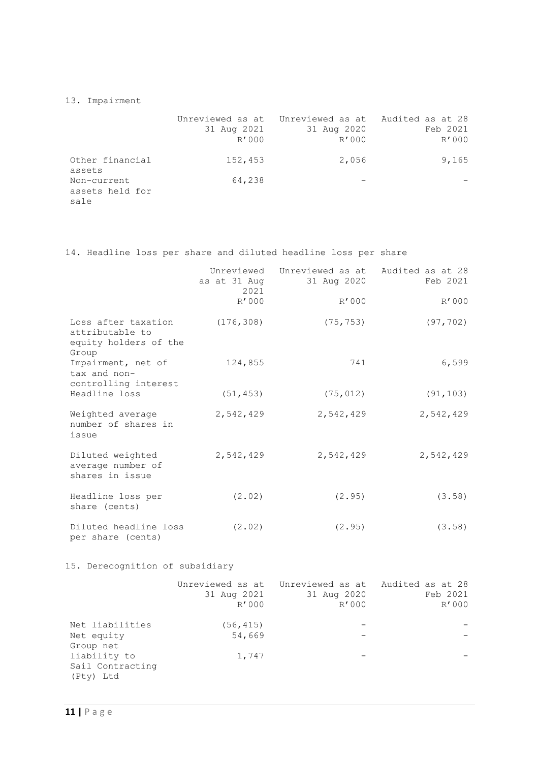13. Impairment

|                                        | 31 Aug 2021<br>R'000 | Unreviewed as at Unreviewed as at Audited as at 28<br>31 Aug 2020<br>R'000 | Feb 2021<br>R'000 |
|----------------------------------------|----------------------|----------------------------------------------------------------------------|-------------------|
| Other financial<br>assets              | 152,453              | 2,056                                                                      | 9,165             |
| Non-current<br>assets held for<br>sale | 64,238               |                                                                            |                   |

14. Headline loss per share and diluted headline loss per share

|                                                                          | as at 31 Aug<br>2021<br>R'000 | Unreviewed Unreviewed as at Audited as at 28<br>31 Aug 2020<br>R'000 | Feb 2021<br>R'000 |
|--------------------------------------------------------------------------|-------------------------------|----------------------------------------------------------------------|-------------------|
| Loss after taxation<br>attributable to<br>equity holders of the<br>Group | (176, 308)                    | (75, 753)                                                            | (97, 702)         |
| Impairment, net of<br>tax and non-<br>controlling interest               | 124,855                       | 741                                                                  | 6,599             |
| Headline loss                                                            | (51, 453)                     | (75, 012)                                                            | (91, 103)         |
| Weighted average<br>number of shares in<br>issue                         | 2,542,429                     | 2,542,429                                                            | 2,542,429         |
| Diluted weighted<br>average number of<br>shares in issue                 | 2,542,429                     | 2,542,429                                                            | 2,542,429         |
| Headline loss per<br>share (cents)                                       | (2.02)                        | (2.95)                                                               | (3.58)            |
| Diluted headline loss<br>per share (cents)                               | (2.02)                        | (2.95)                                                               | (3.58)            |

15. Derecognition of subsidiary

|                                               | 31 Aug 2021<br>R'000 | Unreviewed as at Unreviewed as at Audited as at 28<br>31 Aug 2020<br>R'000 | Feb 2021<br>R'000 |
|-----------------------------------------------|----------------------|----------------------------------------------------------------------------|-------------------|
| Net liabilities<br>Net equity<br>Group net    | (56, 415)<br>54,669  |                                                                            |                   |
| liability to<br>Sail Contracting<br>(Pty) Ltd | 1,747                |                                                                            |                   |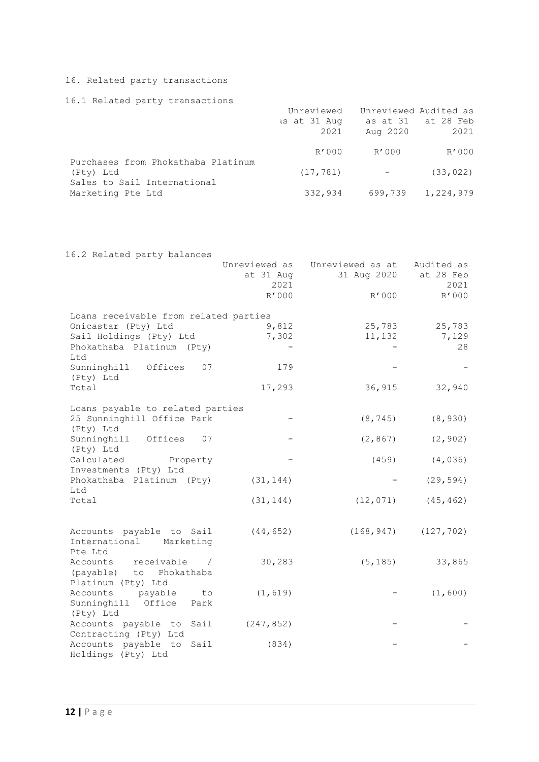## 16. Related party transactions

## 16.1 Related party transactions

|                                                  | Unreviewed           | Unreviewed Audited as |                            |
|--------------------------------------------------|----------------------|-----------------------|----------------------------|
|                                                  | is at 31 Aug<br>2021 | Aug 2020              | as at 31 at 28 Feb<br>2021 |
|                                                  |                      |                       |                            |
| Purchases from Phokathaba Platinum               | R'000                | R'000                 | R'000                      |
| (Pty) Ltd                                        | (17, 781)            |                       | (33, 022)                  |
| Sales to Sail International<br>Marketing Pte Ltd | 332,934              | 699,739               | 1,224,979                  |

| 16.2 Related party balances                                            |                                    |                                 |                                 |
|------------------------------------------------------------------------|------------------------------------|---------------------------------|---------------------------------|
|                                                                        | Unreviewed as<br>at 31 Aug<br>2021 | Unreviewed as at<br>31 Aug 2020 | Audited as<br>at 28 Feb<br>2021 |
|                                                                        | R'000                              | R'000                           | R'000                           |
| Loans receivable from related parties                                  |                                    |                                 |                                 |
| Onicastar (Pty) Ltd                                                    | 9,812                              | 25,783                          | 25,783                          |
| Sail Holdings (Pty) Ltd<br>Phokathaba Platinum (Pty)<br>Ltd            | 7,302                              | 11,132                          | 7,129<br>28                     |
| Sunninghill Offices<br>07<br>(Pty) Ltd                                 | 179                                |                                 |                                 |
| Total                                                                  | 17,293                             | 36,915                          | 32,940                          |
| Loans payable to related parties                                       |                                    |                                 |                                 |
| 25 Sunninghill Office Park<br>(Pty) Ltd                                |                                    | (8, 745)                        | (8, 930)                        |
| Sunninghill Offices 07<br>(Pty) Ltd                                    |                                    | (2, 867)                        | (2, 902)                        |
| Calculated Property<br>Investments (Pty) Ltd                           |                                    | (459)                           | (4, 036)                        |
| Phokathaba Platinum (Pty)                                              | (31, 144)                          |                                 | (29, 594)                       |
| Ltd<br>Total                                                           | (31, 144)                          | (12, 071)                       | (45, 462)                       |
|                                                                        |                                    |                                 |                                 |
| Accounts payable to Sail<br>International Marketing<br>Pte Ltd         | (44, 652)                          | (168, 947)                      | (127, 702)                      |
| Accounts receivable /<br>(payable) to Phokathaba<br>Platinum (Pty) Ltd | 30,283                             | (5, 185)                        | 33,865                          |
| Accounts<br>payable<br>to<br>Sunninghill Office Park                   | (1, 619)                           |                                 | (1, 600)                        |
| (Pty) Ltd<br>Accounts payable to Sail<br>Contracting (Pty) Ltd         | (247, 852)                         |                                 |                                 |
| Accounts payable to Sail<br>Holdings (Pty) Ltd                         | (834)                              |                                 |                                 |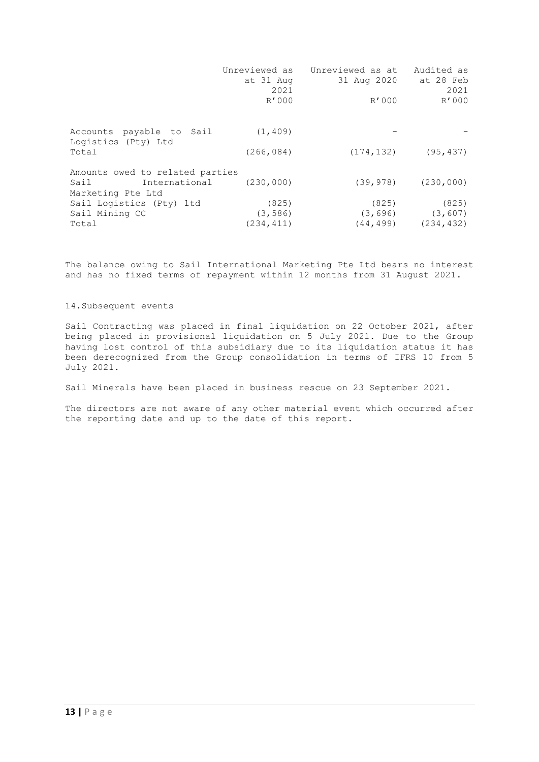|                                                                               | at 31 Aug<br>2021<br>R'000      | Unreviewed as Unreviewed as at<br>31 Aug 2020<br>R'000 | Audited as<br>at 28 Feb<br>2021<br>R'000     |
|-------------------------------------------------------------------------------|---------------------------------|--------------------------------------------------------|----------------------------------------------|
| Accounts payable to Sail<br>Logistics (Pty) Ltd                               | (1, 409)                        |                                                        |                                              |
| Total                                                                         | (266, 084)                      | (174, 132)                                             | (95, 437)                                    |
| Amounts owed to related parties<br>International<br>Sail<br>Marketing Pte Ltd | (230, 000)                      | (39, 978)                                              | (230, 000)                                   |
| Sail Logistics (Pty) ltd<br>Sail Mining CC<br>Total                           | (825)<br>(3, 586)<br>(234, 411) | (825)<br>(44, 499)                                     | (825)<br>$(3, 696)$ $(3, 607)$<br>(234, 432) |

The balance owing to Sail International Marketing Pte Ltd bears no interest and has no fixed terms of repayment within 12 months from 31 August 2021.

## 14.Subsequent events

Sail Contracting was placed in final liquidation on 22 October 2021, after being placed in provisional liquidation on 5 July 2021. Due to the Group having lost control of this subsidiary due to its liquidation status it has been derecognized from the Group consolidation in terms of IFRS 10 from 5 July 2021.

Sail Minerals have been placed in business rescue on 23 September 2021.

The directors are not aware of any other material event which occurred after the reporting date and up to the date of this report.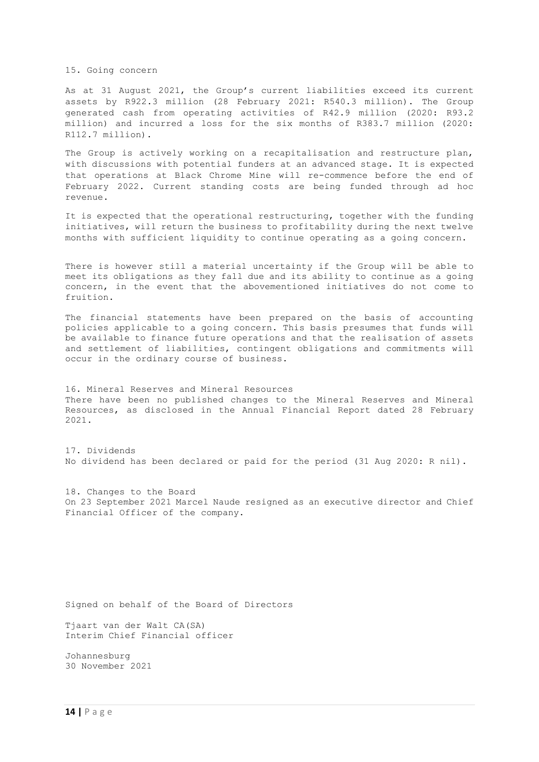15. Going concern

As at 31 August 2021, the Group's current liabilities exceed its current assets by R922.3 million (28 February 2021: R540.3 million). The Group generated cash from operating activities of R42.9 million (2020: R93.2 million) and incurred a loss for the six months of R383.7 million (2020: R112.7 million).

The Group is actively working on a recapitalisation and restructure plan, with discussions with potential funders at an advanced stage. It is expected that operations at Black Chrome Mine will re-commence before the end of February 2022. Current standing costs are being funded through ad hoc revenue.

It is expected that the operational restructuring, together with the funding initiatives, will return the business to profitability during the next twelve months with sufficient liquidity to continue operating as a going concern.

There is however still a material uncertainty if the Group will be able to meet its obligations as they fall due and its ability to continue as a going concern, in the event that the abovementioned initiatives do not come to fruition.

The financial statements have been prepared on the basis of accounting policies applicable to a going concern. This basis presumes that funds will be available to finance future operations and that the realisation of assets and settlement of liabilities, contingent obligations and commitments will occur in the ordinary course of business.

16. Mineral Reserves and Mineral Resources There have been no published changes to the Mineral Reserves and Mineral Resources, as disclosed in the Annual Financial Report dated 28 February 2021.

17. Dividends No dividend has been declared or paid for the period (31 Aug 2020: R nil).

18. Changes to the Board On 23 September 2021 Marcel Naude resigned as an executive director and Chief Financial Officer of the company.

Signed on behalf of the Board of Directors

Tjaart van der Walt CA(SA) Interim Chief Financial officer

Johannesburg 30 November 2021